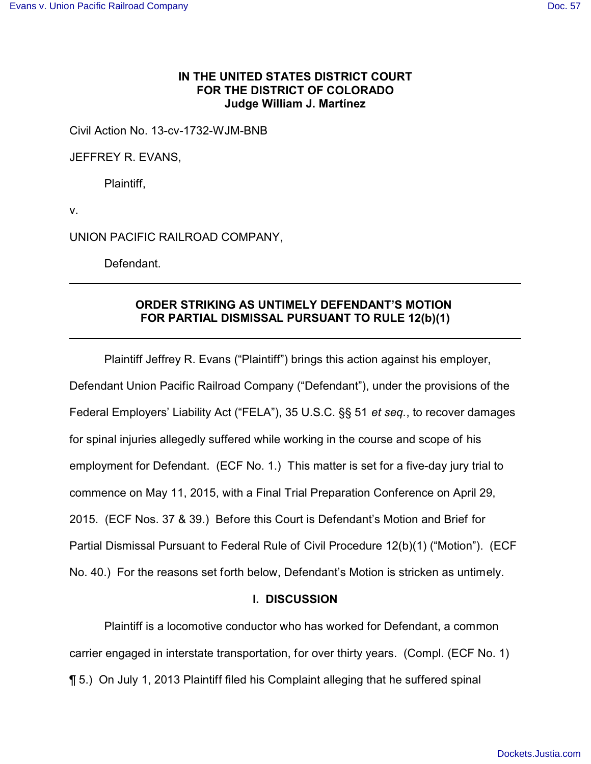## **IN THE UNITED STATES DISTRICT COURT FOR THE DISTRICT OF COLORADO Judge William J. Martínez**

Civil Action No. 13-cv-1732-WJM-BNB

JEFFREY R. EVANS,

Plaintiff,

v.

UNION PACIFIC RAILROAD COMPANY,

Defendant.

## **ORDER STRIKING AS UNTIMELY DEFENDANT'S MOTION FOR PARTIAL DISMISSAL PURSUANT TO RULE 12(b)(1)**

Plaintiff Jeffrey R. Evans ("Plaintiff") brings this action against his employer, Defendant Union Pacific Railroad Company ("Defendant"), under the provisions of the Federal Employers' Liability Act ("FELA"), 35 U.S.C. §§ 51 *et seq.*, to recover damages for spinal injuries allegedly suffered while working in the course and scope of his employment for Defendant. (ECF No. 1.) This matter is set for a five-day jury trial to commence on May 11, 2015, with a Final Trial Preparation Conference on April 29, 2015. (ECF Nos. 37 & 39.) Before this Court is Defendant's Motion and Brief for Partial Dismissal Pursuant to Federal Rule of Civil Procedure 12(b)(1) ("Motion"). (ECF No. 40.) For the reasons set forth below, Defendant's Motion is stricken as untimely.

## **I. DISCUSSION**

Plaintiff is a locomotive conductor who has worked for Defendant, a common carrier engaged in interstate transportation, for over thirty years. (Compl. (ECF No. 1) ¶ 5.) On July 1, 2013 Plaintiff filed his Complaint alleging that he suffered spinal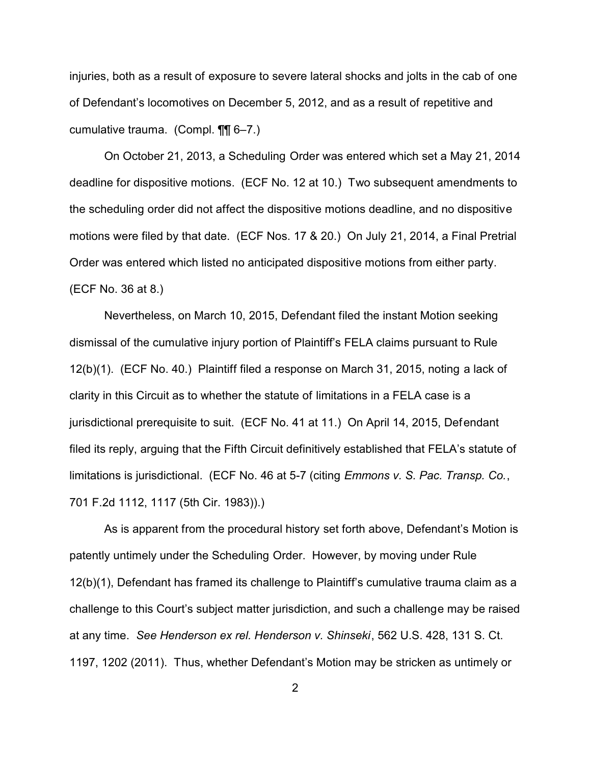injuries, both as a result of exposure to severe lateral shocks and jolts in the cab of one of Defendant's locomotives on December 5, 2012, and as a result of repetitive and cumulative trauma. (Compl. ¶¶ 6–7.)

On October 21, 2013, a Scheduling Order was entered which set a May 21, 2014 deadline for dispositive motions. (ECF No. 12 at 10.) Two subsequent amendments to the scheduling order did not affect the dispositive motions deadline, and no dispositive motions were filed by that date. (ECF Nos. 17 & 20.) On July 21, 2014, a Final Pretrial Order was entered which listed no anticipated dispositive motions from either party. (ECF No. 36 at 8.)

Nevertheless, on March 10, 2015, Defendant filed the instant Motion seeking dismissal of the cumulative injury portion of Plaintiff's FELA claims pursuant to Rule 12(b)(1). (ECF No. 40.) Plaintiff filed a response on March 31, 2015, noting a lack of clarity in this Circuit as to whether the statute of limitations in a FELA case is a jurisdictional prerequisite to suit. (ECF No. 41 at 11.) On April 14, 2015, Defendant filed its reply, arguing that the Fifth Circuit definitively established that FELA's statute of limitations is jurisdictional. (ECF No. 46 at 5-7 (citing *Emmons v. S. Pac. Transp. Co.*, 701 F.2d 1112, 1117 (5th Cir. 1983)).)

As is apparent from the procedural history set forth above, Defendant's Motion is patently untimely under the Scheduling Order. However, by moving under Rule 12(b)(1), Defendant has framed its challenge to Plaintiff's cumulative trauma claim as a challenge to this Court's subject matter jurisdiction, and such a challenge may be raised at any time. *See Henderson ex rel. Henderson v. Shinseki*, 562 U.S. 428, 131 S. Ct. 1197, 1202 (2011). Thus, whether Defendant's Motion may be stricken as untimely or

2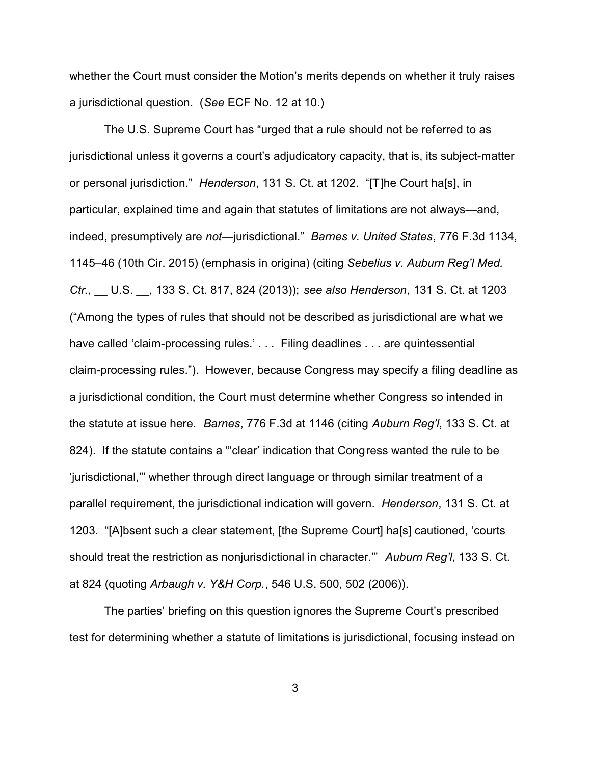whether the Court must consider the Motion's merits depends on whether it truly raises a jurisdictional question. (*See* ECF No. 12 at 10.)

The U.S. Supreme Court has "urged that a rule should not be referred to as jurisdictional unless it governs a court's adjudicatory capacity, that is, its subject-matter or personal jurisdiction." *Henderson*, 131 S. Ct. at 1202. "[T]he Court ha[s], in particular, explained time and again that statutes of limitations are not always—and, indeed, presumptively are *not*—jurisdictional." *Barnes v. United States*, 776 F.3d 1134, 1145–46 (10th Cir. 2015) (emphasis in origina) (citing *Sebelius v. Auburn Reg'l Med. Ctr.*, \_\_ U.S. \_\_, 133 S. Ct. 817, 824 (2013)); *see also Henderson*, 131 S. Ct. at 1203 ("Among the types of rules that should not be described as jurisdictional are what we have called 'claim-processing rules.' . . . Filing deadlines . . . are quintessential claim-processing rules."). However, because Congress may specify a filing deadline as a jurisdictional condition, the Court must determine whether Congress so intended in the statute at issue here. *Barnes*, 776 F.3d at 1146 (citing *Auburn Reg'l*, 133 S. Ct. at 824). If the statute contains a "'clear' indication that Congress wanted the rule to be 'jurisdictional,'" whether through direct language or through similar treatment of a parallel requirement, the jurisdictional indication will govern. *Henderson*, 131 S. Ct. at 1203. "[A]bsent such a clear statement, [the Supreme Court] ha[s] cautioned, 'courts should treat the restriction as nonjurisdictional in character.'" *Auburn Reg'l*, 133 S. Ct. at 824 (quoting *Arbaugh v. Y&H Corp.*, 546 U.S. 500, 502 (2006)).

The parties' briefing on this question ignores the Supreme Court's prescribed test for determining whether a statute of limitations is jurisdictional, focusing instead on

3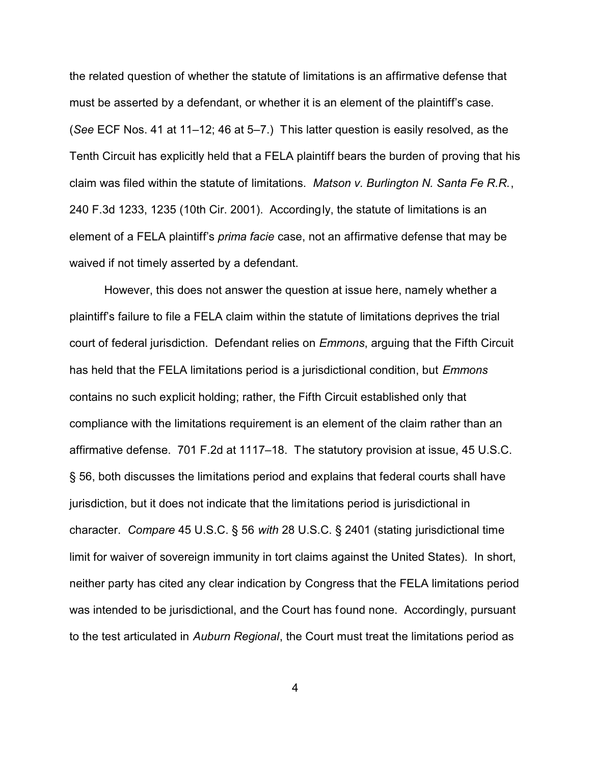the related question of whether the statute of limitations is an affirmative defense that must be asserted by a defendant, or whether it is an element of the plaintiff's case. (*See* ECF Nos. 41 at 11–12; 46 at 5–7.) This latter question is easily resolved, as the Tenth Circuit has explicitly held that a FELA plaintiff bears the burden of proving that his claim was filed within the statute of limitations. *Matson v. Burlington N. Santa Fe R.R.*, 240 F.3d 1233, 1235 (10th Cir. 2001). Accordingly, the statute of limitations is an element of a FELA plaintiff's *prima facie* case, not an affirmative defense that may be waived if not timely asserted by a defendant.

However, this does not answer the question at issue here, namely whether a plaintiff's failure to file a FELA claim within the statute of limitations deprives the trial court of federal jurisdiction. Defendant relies on *Emmons*, arguing that the Fifth Circuit has held that the FELA limitations period is a jurisdictional condition, but *Emmons* contains no such explicit holding; rather, the Fifth Circuit established only that compliance with the limitations requirement is an element of the claim rather than an affirmative defense. 701 F.2d at 1117–18. The statutory provision at issue, 45 U.S.C. § 56, both discusses the limitations period and explains that federal courts shall have jurisdiction, but it does not indicate that the limitations period is jurisdictional in character. *Compare* 45 U.S.C. § 56 *with* 28 U.S.C. § 2401 (stating jurisdictional time limit for waiver of sovereign immunity in tort claims against the United States). In short, neither party has cited any clear indication by Congress that the FELA limitations period was intended to be jurisdictional, and the Court has found none. Accordingly, pursuant to the test articulated in *Auburn Regional*, the Court must treat the limitations period as

4